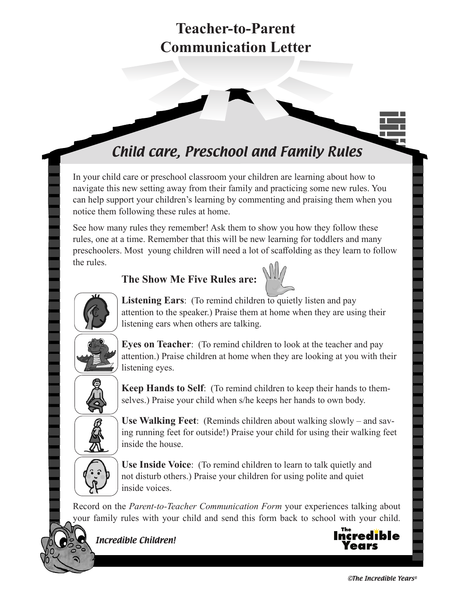# Child care, Preschool and Family Rules

In your child care or preschool classroom your children are learning about how to navigate this new setting away from their family and practicing some new rules. You can help support your children's learning by commenting and praising them when you notice them following these rules at home.

See how many rules they remember! Ask them to show you how they follow these rules, one at a time. Remember that this will be new learning for toddlers and many preschoolers. Most young children will need a lot of scaffolding as they learn to follow the rules.

### **The Show Me Five Rules are:**





Listening Ears: (To remind children to quietly listen and pay attention to the speaker.) Praise them at home when they are using their listening ears when others are talking.



**Eyes on Teacher**: (To remind children to look at the teacher and pay attention.) Praise children at home when they are looking at you with their listening eyes.



**Keep Hands to Self**: (To remind children to keep their hands to themselves.) Praise your child when s/he keeps her hands to own body.



**Use Walking Feet**: (Reminds children about walking slowly – and saving running feet for outside!) Praise your child for using their walking feet inside the house.



**Use Inside Voice**: (To remind children to learn to talk quietly and not disturb others.) Praise your children for using polite and quiet inside voices.

Record on the *Parent-to-Teacher Communication Form* your experiences talking about your family rules with your child and send this form back to school with your child.



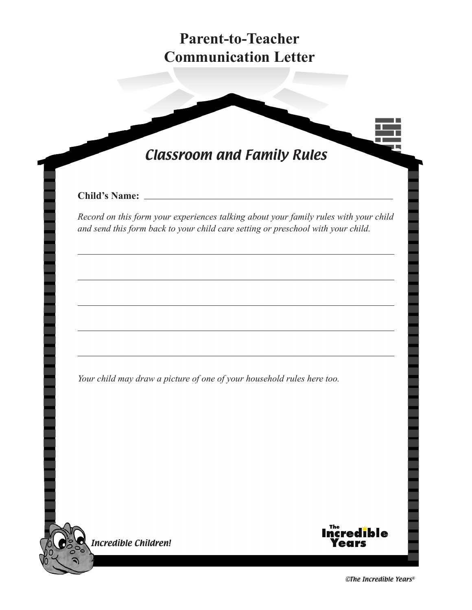# Classroom and Family Rules

#### **Child's Name:**

*Record on this form your experiences talking about your family rules with your child and send this form back to your child care setting or preschool with your child.* 

*Your child may draw a picture of one of your household rules here too.*





©The Incredible Years®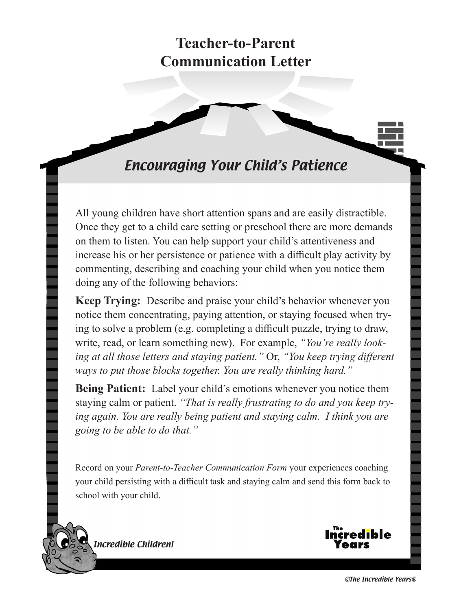### Encouraging Your Child's Patience

All young children have short attention spans and are easily distractible. Once they get to a child care setting or preschool there are more demands on them to listen. You can help support your child's attentiveness and increase his or her persistence or patience with a difficult play activity by commenting, describing and coaching your child when you notice them doing any of the following behaviors:

**Keep Trying:** Describe and praise your child's behavior whenever you notice them concentrating, paying attention, or staying focused when trying to solve a problem (e.g. completing a difficult puzzle, trying to draw, write, read, or learn something new). For example, *"You're really looking at all those letters and staying patient."* Or, *"You keep trying different ways to put those blocks together. You are really thinking hard."* 

**Being Patient:** Label your child's emotions whenever you notice them staying calm or patient. *"That is really frustrating to do and you keep trying again. You are really being patient and staying calm. I think you are going to be able to do that."*

Record on your *Parent-to-Teacher Communication Form* your experiences coaching your child persisting with a difficult task and staying calm and send this form back to school with your child.



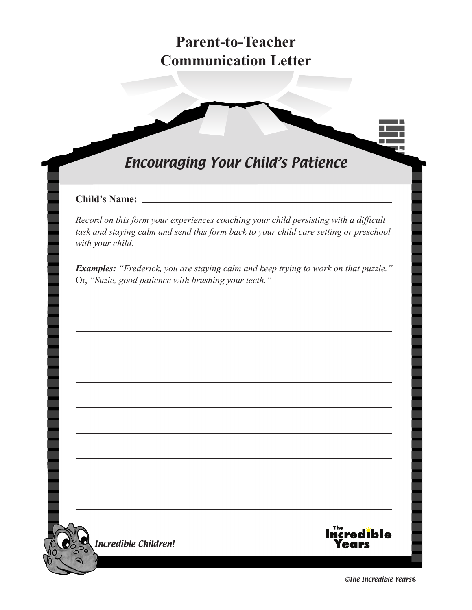# Encouraging Your Child's Patience

#### **Child's Name:**

*Record on this form your experiences coaching your child persisting with a difficult task and staying calm and send this form back to your child care setting or preschool with your child.* 

*Examples: "Frederick, you are staying calm and keep trying to work on that puzzle."* Or, *"Suzie, good patience with brushing your teeth."* 





©The Incredible Years®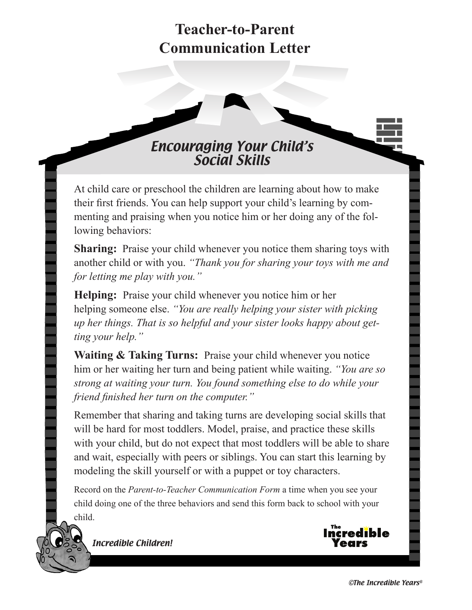### Encouraging Your Child's Social Skills

At child care or preschool the children are learning about how to make their first friends. You can help support your child's learning by commenting and praising when you notice him or her doing any of the following behaviors:

**Sharing:** Praise your child whenever you notice them sharing toys with another child or with you. *"Thank you for sharing your toys with me and for letting me play with you."*

**Helping:** Praise your child whenever you notice him or her helping someone else. *"You are really helping your sister with picking up her things. That is so helpful and your sister looks happy about getting your help."*

**Waiting & Taking Turns:** Praise your child whenever you notice him or her waiting her turn and being patient while waiting. *"You are so strong at waiting your turn. You found something else to do while your friend finished her turn on the computer."*

Remember that sharing and taking turns are developing social skills that will be hard for most toddlers. Model, praise, and practice these skills with your child, but do not expect that most toddlers will be able to share and wait, especially with peers or siblings. You can start this learning by modeling the skill yourself or with a puppet or toy characters.

Record on the *Parent-to-Teacher Communication Form* a time when you see your child doing one of the three behaviors and send this form back to school with your child.

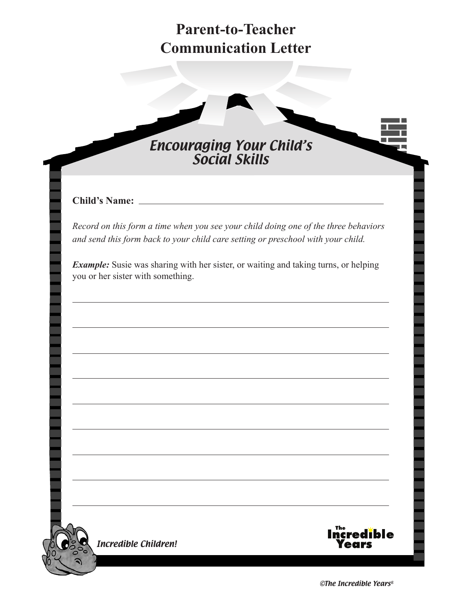

#### **Child's Name:**

*Record on this form a time when you see your child doing one of the three behaviors and send this form back to your child care setting or preschool with your child.* 

*Example:* Susie was sharing with her sister, or waiting and taking turns, or helping you or her sister with something.



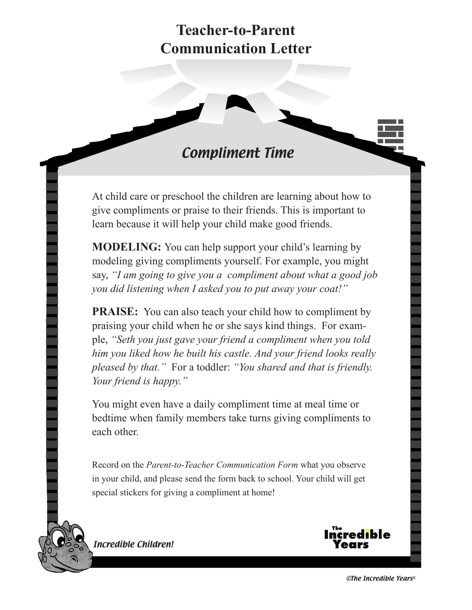### Compliment Time

At child care or preschool the children are learning about how to give compliments or praise to their friends. This is important to learn because it will help your child make good friends.

**MODELING:** You can help support your child's learning by modeling giving compliments yourself. For example, you might say, *"I am going to give you a compliment about what a good job you did listening when I asked you to put away your coat!"* 

**PRAISE:** You can also teach your child how to compliment by praising your child when he or she says kind things. For example, *"Seth you just gave your friend a compliment when you told him you liked how he built his castle. And your friend looks really pleased by that."* For a toddler: *"You shared and that is friendly. Your friend is happy."*

You might even have a daily compliment time at meal time or bedtime when family members take turns giving compliments to each other.

Record on the *Parent-to-Teacher Communication Form* what you observe in your child, and please send the form back to school. Your child will get special stickers for giving a compliment at home!

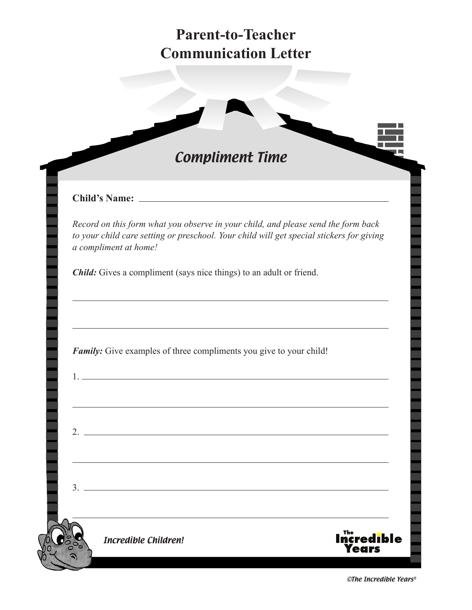

#### **Child's Name:**

 $2.$  —

 $3. =$ 

*Record on this form what you observe in your child, and please send the form back to your child care setting or preschool. Your child will get special stickers for giving a compliment at home!* 

*Child:* Gives a compliment (says nice things) to an adult or friend.

*Family:* Give examples of three compliments you give to your child!

1. <u>The contract of the contract of the contract of the contract of the contract of the contract of</u>

Incredible Children!



©The Incredible Years®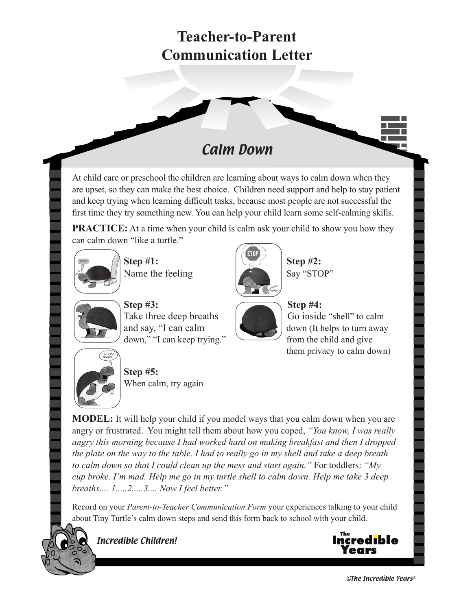### Calm Down

At child care or preschool the children are learning about ways to calm down when they are upset, so they can make the best choice. Children need support and help to stay patient and keep trying when learning difficult tasks, because most people are not successful the first time they try something new. You can help your child learn some self-calming skills.

**PRACTICE:** At a time when your child is calm ask your child to show you how they can calm down "like a turtle."



**Step #1:** Step #2: Name the feeling **Say "STOP"** Say "STOP"





Step #3: Step #4: Take three deep breaths **Figure 1** Go inside "shell" to calm and say, "I can calm down (It helps to turn away down," "I can keep trying." from the child and give



them privacy to calm down)



**Step #5:** When calm, try again

**MODEL:** It will help your child if you model ways that you calm down when you are angry or frustrated. You might tell them about how you coped, *"You know, I was really angry this morning because I had worked hard on making breakfast and then I dropped the plate on the way to the table. I had to really go in my shell and take a deep breath to calm down so that I could clean up the mess and start again."* For toddlers: *"My cup broke. I'm mad. Help me go in my turtle shell to calm down. Help me take 3 deep breaths.... 1.....2.....3.... Now I feel better."*

Record on your *Parent-to-Teacher Communication Form* your experiences talking to your child about Tiny Turtle's calm down steps and send this form back to school with your child.



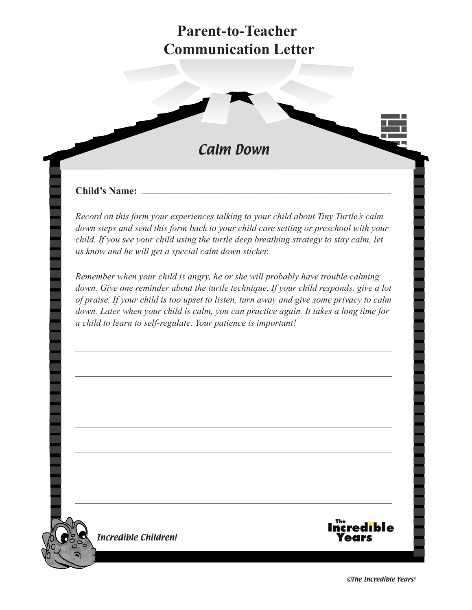

#### **Child's Name:**

*Record on this form your experiences talking to your child about Tiny Turtle's calm down steps and send this form back to your child care setting or preschool with your child. If you see your child using the turtle deep breathing strategy to stay calm, let us know and he will get a special calm down sticker.* 

*Remember when your child is angry, he or she will probably have trouble calming down. Give one reminder about the turtle technique. If your child responds, give a lot of praise. If your child is too upset to listen, turn away and give some privacy to calm down. Later when your child is calm, you can practice again. It takes a long time for a child to learn to self-regulate. Your patience is important!* 

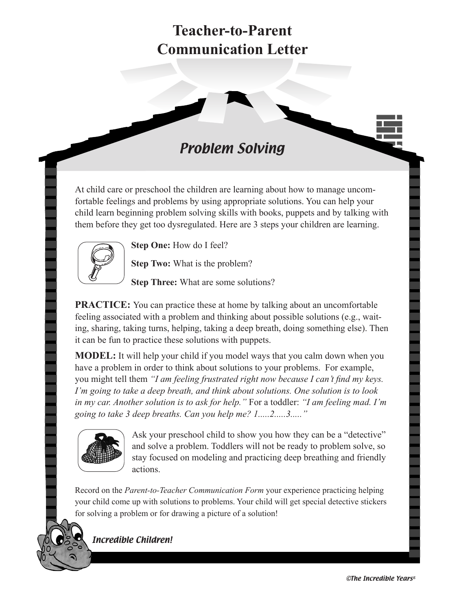### Problem Solving

At child care or preschool the children are learning about how to manage uncomfortable feelings and problems by using appropriate solutions. You can help your child learn beginning problem solving skills with books, puppets and by talking with them before they get too dysregulated. Here are 3 steps your children are learning.



**Step One:** How do I feel?

**Step Two:** What is the problem?

**Step Three:** What are some solutions?

**PRACTICE:** You can practice these at home by talking about an uncomfortable feeling associated with a problem and thinking about possible solutions (e.g., waiting, sharing, taking turns, helping, taking a deep breath, doing something else). Then it can be fun to practice these solutions with puppets.

**MODEL:** It will help your child if you model ways that you calm down when you have a problem in order to think about solutions to your problems. For example, you might tell them *"I am feeling frustrated right now because I can't find my keys. I'm going to take a deep breath, and think about solutions. One solution is to look in my car. Another solution is to ask for help."* For a toddler: *"I am feeling mad. I'm going to take 3 deep breaths. Can you help me? 1.....2.....3....."*



Ask your preschool child to show you how they can be a "detective" and solve a problem. Toddlers will not be ready to problem solve, so stay focused on modeling and practicing deep breathing and friendly actions.

Record on the *Parent-to-Teacher Communication Form* your experience practicing helping your child come up with solutions to problems. Your child will get special detective stickers for solving a problem or for drawing a picture of a solution!